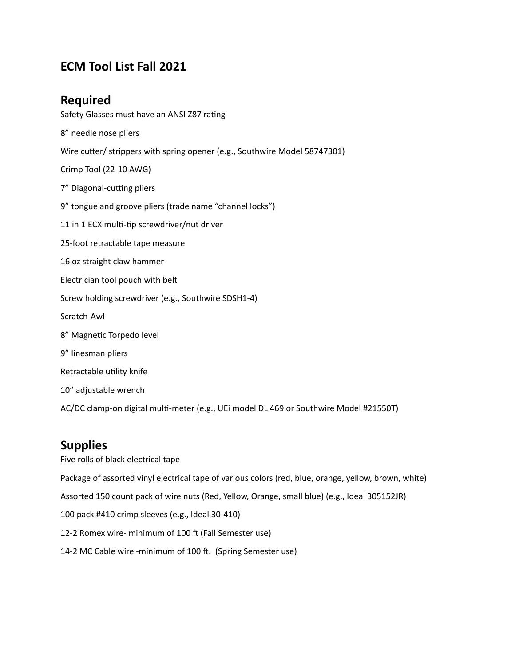# **ECM Tool List Fall 2021**

### **Required**

Safety Glasses must have an ANSI Z87 rating Wire cutter/ strippers with spring opener (e.g., Southwire Model 58747301) 9" tongue and groove pliers (trade name "channel locks") 11 in 1 ECX multi-tip screwdriver/nut driver 25-foot retractable tape measure 16 oz straight claw hammer Electrician tool pouch with belt Screw holding screwdriver (e.g., Southwire SDSH1-4) 9" linesman pliers Retractable utility knife 10" adjustable wrench AC/DC clamp-on digital multi-meter (e.g., UEi model DL 469 or Southwire Model #21550T) 8" needle nose pliers Crimp Tool (22-10 AWG) 7" Diagonal-cutting pliers Scratch-Awl 8" Magnetic Torpedo level

## **Supplies**

 Five rolls of black electrical tape Package of assorted vinyl electrical tape of various colors (red, blue, orange, yellow, brown, white) Assorted 150 count pack of wire nuts (Red, Yellow, Orange, small blue) (e.g., Ideal 305152JR) 100 pack #410 crimp sleeves (e.g., Ideal 30-410) 12-2 Romex wire- minimum of 100 ft (Fall Semester use) 14-2 MC Cable wire -minimum of 100 ft. (Spring Semester use)